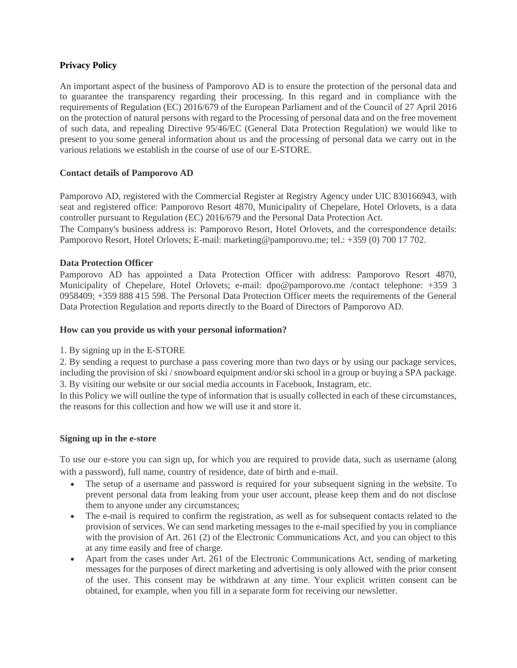# **Privacy Policy**

An important aspect of the business of Pamporovo AD is to ensure the protection of the personal data and to guarantee the transparency regarding their processing. In this regard and in compliance with the requirements of Regulation (EC) 2016/679 of the European Parliament and of the Council of 27 April 2016 on the protection of natural persons with regard to the Processing of personal data and on the free movement of such data, and repealing Directive 95/46/EC (General Data Protection Regulation) we would like to present to you some general information about us and the processing of personal data we carry out in the various relations we establish in the course of use of our E-STORE.

### **Contact details of Pamporovo AD**

Pamporovo AD, registered with the Commercial Register at Registry Agency under UIC 830166943, with seat and registered office: Pamporovo Resort 4870, Municipality of Chepelare, Hotel Orlovets, is a data controller pursuant to Regulation (EC) 2016/679 and the Personal Data Protection Act.

The Company's business address is: Pamporovo Resort, Hotel Orlovets, and the correspondence details: Pamporovo Resort, Hotel Orlovets; E-mail: marketing@pamporovo.me; tel.: +359 (0) 700 17 702.

### **Data Protection Officer**

Pamporovo AD has appointed a Data Protection Officer with address: Pamporovo Resort 4870, Municipality of Chepelare, Hotel Orlovets; e-mail: [dpo@pamporovo.me /contact](mailto:dpo@pamporovo.me%20/телефон) telephone: +359 3 0958409; +359 888 415 598. The Personal Data Protection Officer meets the requirements of the General Data Protection Regulation and reports directly to the Board of Directors of Pamporovo AD.

### **How can you provide us with your personal information?**

### 1. By signing up in the E-STORE

2. By sending a request to purchase a pass covering more than two days or by using our package services, including the provision of ski / snowboard equipment and/or ski school in a group or buying a SPA package. 3. By visiting our website or our social media accounts in Facebook, Instagram, etc.

In this Policy we will outline the type of information that is usually collected in each of these circumstances, the reasons for this collection and how we will use it and store it.

### **Signing up in the e-store**

To use our e-store you can sign up, for which you are required to provide data, such as username (along with a password), full name, country of residence, date of birth and e-mail.

- The setup of a username and password is required for your subsequent signing in the website. To prevent personal data from leaking from your user account, please keep them and do not disclose them to anyone under any circumstances;
- The e-mail is required to confirm the registration, as well as for subsequent contacts related to the provision of services. We can send marketing messages to the e-mail specified by you in compliance with the provision of Art. 261 (2) of the Electronic Communications Act, and you can object to this at any time easily and free of charge.
- Apart from the cases under Art. 261 of the Electronic Communications Act, sending of marketing messages for the purposes of direct marketing and advertising is only allowed with the prior consent of the user. This consent may be withdrawn at any time. Your explicit written consent can be obtained, for example, when you fill in a separate form for receiving our newsletter.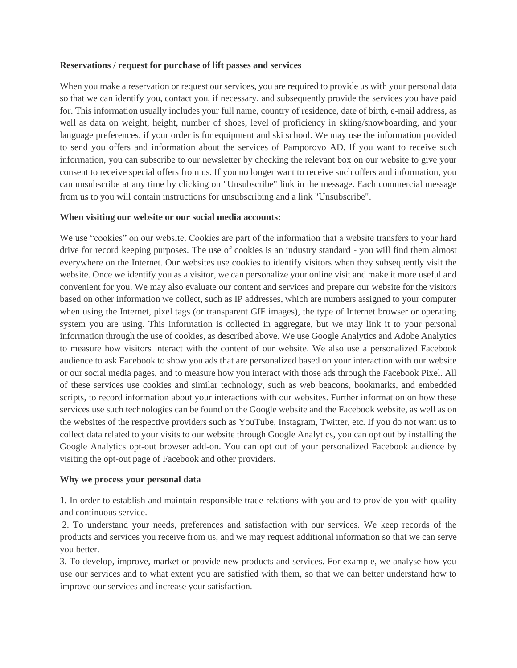### **Reservations / request for purchase of lift passes and services**

When you make a reservation or request our services, you are required to provide us with your personal data so that we can identify you, contact you, if necessary, and subsequently provide the services you have paid for. This information usually includes your full name, country of residence, date of birth, e-mail address, as well as data on weight, height, number of shoes, level of proficiency in skiing/snowboarding, and your language preferences, if your order is for equipment and ski school. We may use the information provided to send you offers and information about the services of Pamporovo AD. If you want to receive such information, you can subscribe to our newsletter by checking the relevant box on our website to give your consent to receive special offers from us. If you no longer want to receive such offers and information, you can unsubscribe at any time by clicking on "Unsubscribe" link in the message. Each commercial message from us to you will contain instructions for unsubscribing and a link "Unsubscribe".

#### **When visiting our website or our social media accounts:**

We use "cookies" on our website. Cookies are part of the information that a website transfers to your hard drive for record keeping purposes. The use of cookies is an industry standard - you will find them almost everywhere on the Internet. Our websites use cookies to identify visitors when they subsequently visit the website. Once we identify you as a visitor, we can personalize your online visit and make it more useful and convenient for you. We may also evaluate our content and services and prepare our website for the visitors based on other information we collect, such as IP addresses, which are numbers assigned to your computer when using the Internet, pixel tags (or transparent GIF images), the type of Internet browser or operating system you are using. This information is collected in aggregate, but we may link it to your personal information through the use of cookies, as described above. We use Google Analytics and Adobe Analytics to measure how visitors interact with the content of our website. We also use a personalized Facebook audience to ask Facebook to show you ads that are personalized based on your interaction with our website or our social media pages, and to measure how you interact with those ads through the Facebook Pixel. All of these services use cookies and similar technology, such as web beacons, bookmarks, and embedded scripts, to record information about your interactions with our websites. Further information on how these services use such technologies can be found on the Google website and the Facebook website, as well as on the websites of the respective providers such as YouTube, Instagram, Twitter, etc. If you do not want us to collect data related to your visits to our website through Google Analytics, you can opt out by installing the Google Analytics opt-out browser add-on. You can opt out of your personalized Facebook audience by visiting the opt-out page of Facebook and other providers.

#### **Why we process your personal data**

**1.** In order to establish and maintain responsible trade relations with you and to provide you with quality and continuous service.

2. To understand your needs, preferences and satisfaction with our services. We keep records of the products and services you receive from us, and we may request additional information so that we can serve you better.

3. To develop, improve, market or provide new products and services. For example, we analyse how you use our services and to what extent you are satisfied with them, so that we can better understand how to improve our services and increase your satisfaction.